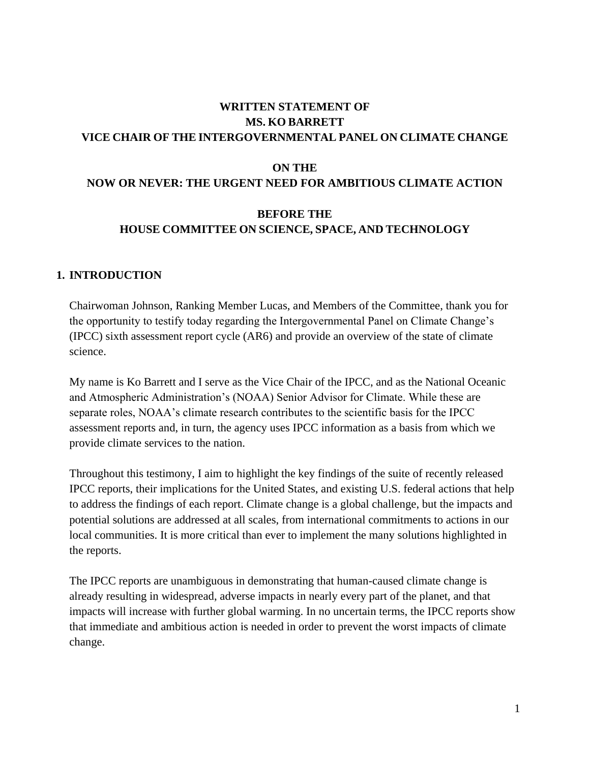# **WRITTEN STATEMENT OF MS. KO BARRETT VICE CHAIR OF THE INTERGOVERNMENTAL PANEL ON CLIMATE CHANGE**

#### **ON THE**

### **NOW OR NEVER: THE URGENT NEED FOR AMBITIOUS CLIMATE ACTION**

#### **BEFORE THE**

#### **HOUSE COMMITTEE ON SCIENCE, SPACE, AND TECHNOLOGY**

#### **1. INTRODUCTION**

Chairwoman Johnson, Ranking Member Lucas, and Members of the Committee, thank you for the opportunity to testify today regarding the Intergovernmental Panel on Climate Change's (IPCC) sixth assessment report cycle (AR6) and provide an overview of the state of climate science.

My name is Ko Barrett and I serve as the Vice Chair of the IPCC, and as the National Oceanic and Atmospheric Administration's (NOAA) Senior Advisor for Climate. While these are separate roles, NOAA's climate research contributes to the scientific basis for the IPCC assessment reports and, in turn, the agency uses IPCC information as a basis from which we provide climate services to the nation.

Throughout this testimony, I aim to highlight the key findings of the suite of recently released IPCC reports, their implications for the United States, and existing U.S. federal actions that help to address the findings of each report. Climate change is a global challenge, but the impacts and potential solutions are addressed at all scales, from international commitments to actions in our local communities. It is more critical than ever to implement the many solutions highlighted in the reports.

The IPCC reports are unambiguous in demonstrating that human-caused climate change is already resulting in widespread, adverse impacts in nearly every part of the planet, and that impacts will increase with further global warming. In no uncertain terms, the IPCC reports show that immediate and ambitious action is needed in order to prevent the worst impacts of climate change.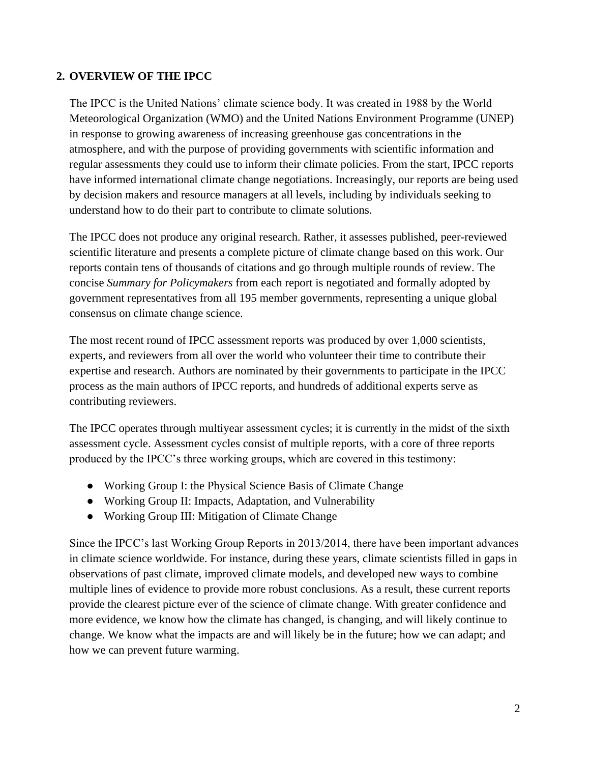### **2. OVERVIEW OF THE IPCC**

The IPCC is the United Nations' climate science body. It was created in 1988 by the World Meteorological Organization (WMO) and the United Nations Environment Programme (UNEP) in response to growing awareness of increasing greenhouse gas concentrations in the atmosphere, and with the purpose of providing governments with scientific information and regular assessments they could use to inform their climate policies. From the start, IPCC reports have informed international climate change negotiations. Increasingly, our reports are being used by decision makers and resource managers at all levels, including by individuals seeking to understand how to do their part to contribute to climate solutions.

The IPCC does not produce any original research. Rather, it assesses published, peer-reviewed scientific literature and presents a complete picture of climate change based on this work. Our reports contain tens of thousands of citations and go through multiple rounds of review. The concise *Summary for Policymakers* from each report is negotiated and formally adopted by government representatives from all 195 member governments, representing a unique global consensus on climate change science.

The most recent round of IPCC assessment reports was produced by over 1,000 scientists, experts, and reviewers from all over the world who volunteer their time to contribute their expertise and research. Authors are nominated by their governments to participate in the IPCC process as the main authors of IPCC reports, and hundreds of additional experts serve as contributing reviewers.

The IPCC operates through multiyear assessment cycles; it is currently in the midst of the sixth assessment cycle. Assessment cycles consist of multiple reports, with a core of three reports produced by the IPCC's three working groups, which are covered in this testimony:

- Working Group I: the Physical Science Basis of Climate Change
- Working Group II: Impacts, Adaptation, and Vulnerability
- Working Group III: Mitigation of Climate Change

Since the IPCC's last Working Group Reports in 2013/2014, there have been important advances in climate science worldwide. For instance, during these years, climate scientists filled in gaps in observations of past climate, improved climate models, and developed new ways to combine multiple lines of evidence to provide more robust conclusions. As a result, these current reports provide the clearest picture ever of the science of climate change. With greater confidence and more evidence, we know how the climate has changed, is changing, and will likely continue to change. We know what the impacts are and will likely be in the future; how we can adapt; and how we can prevent future warming.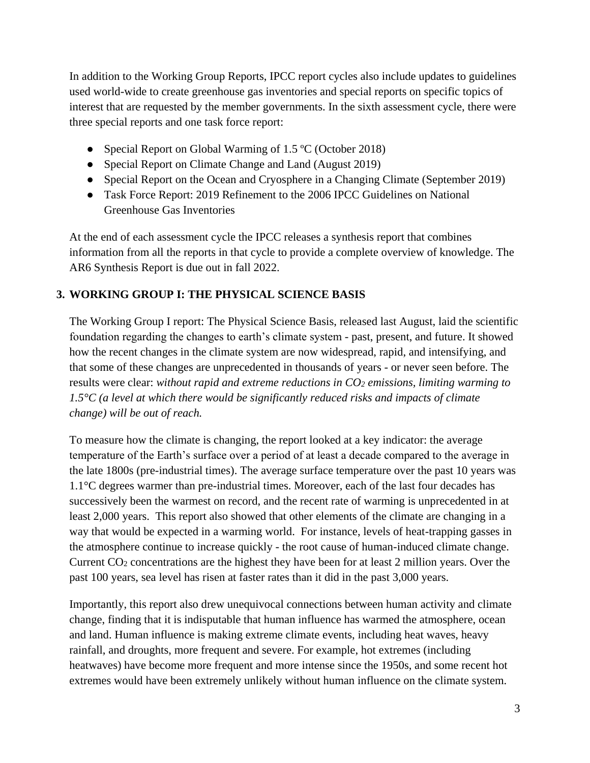In addition to the Working Group Reports, IPCC report cycles also include updates to guidelines used world-wide to create greenhouse gas inventories and special reports on specific topics of interest that are requested by the member governments. In the sixth assessment cycle, there were three special reports and one task force report:

- Special Report on Global Warming of 1.5 °C (October 2018)
- Special Report on Climate Change and Land (August 2019)
- Special Report on the Ocean and Cryosphere in a Changing Climate (September 2019)
- Task Force Report: 2019 Refinement to the 2006 IPCC Guidelines on National Greenhouse Gas Inventories

At the end of each assessment cycle the IPCC releases a synthesis report that combines information from all the reports in that cycle to provide a complete overview of knowledge. The AR6 Synthesis Report is due out in fall 2022.

# **3. WORKING GROUP I: THE PHYSICAL SCIENCE BASIS**

The Working Group I report: The Physical Science Basis, released last August, laid the scientific foundation regarding the changes to earth's climate system - past, present, and future. It showed how the recent changes in the climate system are now widespread, rapid, and intensifying, and that some of these changes are unprecedented in thousands of years - or never seen before. The results were clear: *without rapid and extreme reductions in CO<sup>2</sup> emissions, limiting warming to 1.5°C (a level at which there would be significantly reduced risks and impacts of climate change) will be out of reach.* 

To measure how the climate is changing, the report looked at a key indicator: the average temperature of the Earth's surface over a period of at least a decade compared to the average in the late 1800s (pre-industrial times). The average surface temperature over the past 10 years was 1.1°C degrees warmer than pre-industrial times. Moreover, each of the last four decades has successively been the warmest on record, and the recent rate of warming is unprecedented in at least 2,000 years. This report also showed that other elements of the climate are changing in a way that would be expected in a warming world. For instance, levels of heat-trapping gasses in the atmosphere continue to increase quickly - the root cause of human-induced climate change. Current CO<sup>2</sup> concentrations are the highest they have been for at least 2 million years. Over the past 100 years, sea level has risen at faster rates than it did in the past 3,000 years.

Importantly, this report also drew unequivocal connections between human activity and climate change, finding that it is indisputable that human influence has warmed the atmosphere, ocean and land. Human influence is making extreme climate events, including heat waves, heavy rainfall, and droughts, more frequent and severe. For example, hot extremes (including heatwaves) have become more frequent and more intense since the 1950s, and some recent hot extremes would have been extremely unlikely without human influence on the climate system.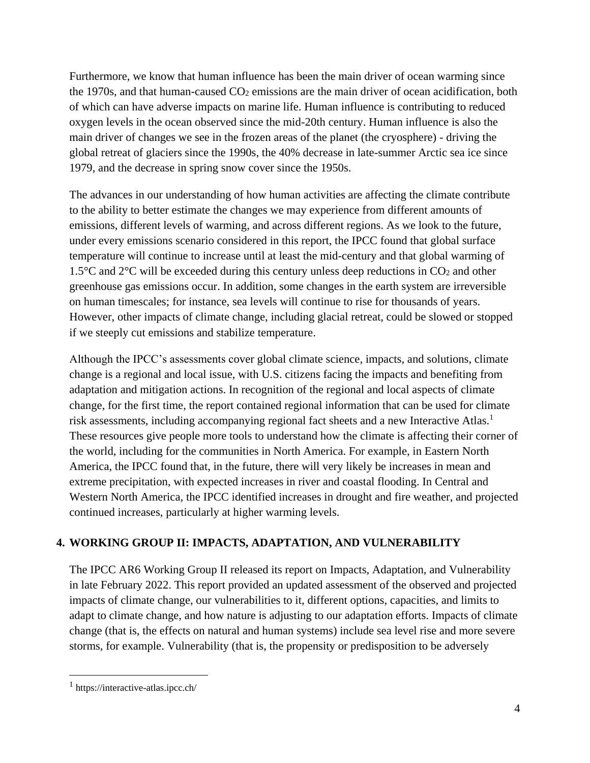Furthermore, we know that human influence has been the main driver of ocean warming since the 1970s, and that human-caused CO<sub>2</sub> emissions are the main driver of ocean acidification, both of which can have adverse impacts on marine life. Human influence is contributing to reduced oxygen levels in the ocean observed since the mid-20th century. Human influence is also the main driver of changes we see in the frozen areas of the planet (the cryosphere) - driving the global retreat of glaciers since the 1990s, the 40% decrease in late-summer Arctic sea ice since 1979, and the decrease in spring snow cover since the 1950s.

The advances in our understanding of how human activities are affecting the climate contribute to the ability to better estimate the changes we may experience from different amounts of emissions, different levels of warming, and across different regions. As we look to the future, under every emissions scenario considered in this report, the IPCC found that global surface temperature will continue to increase until at least the mid-century and that global warming of 1.5 $\degree$ C and 2 $\degree$ C will be exceeded during this century unless deep reductions in CO<sub>2</sub> and other greenhouse gas emissions occur. In addition, some changes in the earth system are irreversible on human timescales; for instance, sea levels will continue to rise for thousands of years. However, other impacts of climate change, including glacial retreat, could be slowed or stopped if we steeply cut emissions and stabilize temperature.

Although the IPCC's assessments cover global climate science, impacts, and solutions, climate change is a regional and local issue, with U.S. citizens facing the impacts and benefiting from adaptation and mitigation actions. In recognition of the regional and local aspects of climate change, for the first time, the report contained regional information that can be used for climate risk assessments, including accompanying regional fact sheets and a new Interactive Atlas.<sup>1</sup> These resources give people more tools to understand how the climate is affecting their corner of the world, including for the communities in North America. For example, in Eastern North America, the IPCC found that, in the future, there will very likely be increases in mean and extreme precipitation, with expected increases in river and coastal flooding. In Central and Western North America, the IPCC identified increases in drought and fire weather, and projected continued increases, particularly at higher warming levels.

# **4. WORKING GROUP II: IMPACTS, ADAPTATION, AND VULNERABILITY**

The IPCC AR6 Working Group II released its report on Impacts, Adaptation, and Vulnerability in late February 2022. This report provided an updated assessment of the observed and projected impacts of climate change, our vulnerabilities to it, different options, capacities, and limits to adapt to climate change, and how nature is adjusting to our adaptation efforts. Impacts of climate change (that is, the effects on natural and human systems) include sea level rise and more severe storms, for example. Vulnerability (that is, the propensity or predisposition to be adversely

 $\overline{a}$ 

<sup>1</sup> https://interactive-atlas.ipcc.ch/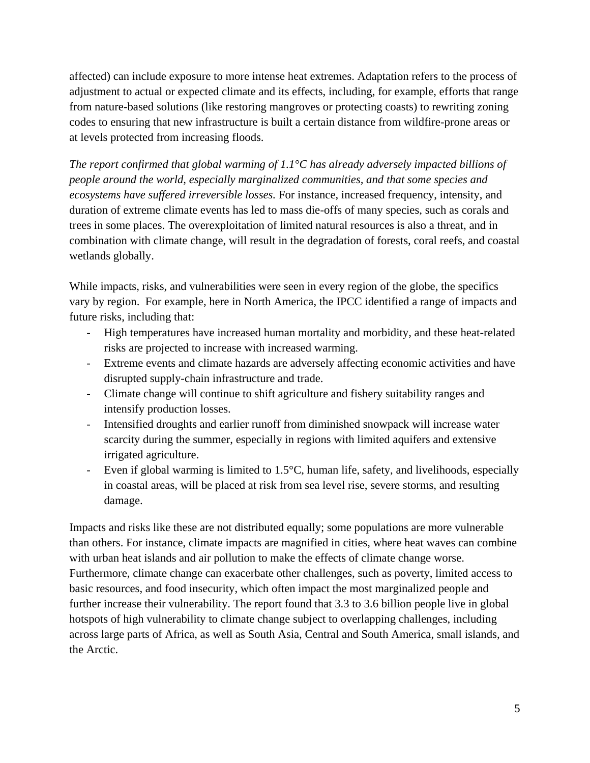affected) can include exposure to more intense heat extremes. Adaptation refers to the process of adjustment to actual or expected climate and its effects, including, for example, efforts that range from nature-based solutions (like restoring mangroves or protecting coasts) to rewriting zoning codes to ensuring that new infrastructure is built a certain distance from wildfire-prone areas or at levels protected from increasing floods.

*The report confirmed that global warming of 1.1°C has already adversely impacted billions of people around the world, especially marginalized communities, and that some species and ecosystems have suffered irreversible losses.* For instance, increased frequency, intensity, and duration of extreme climate events has led to mass die-offs of many species, such as corals and trees in some places. The overexploitation of limited natural resources is also a threat, and in combination with climate change, will result in the degradation of forests, coral reefs, and coastal wetlands globally.

While impacts, risks, and vulnerabilities were seen in every region of the globe, the specifics vary by region. For example, here in North America, the IPCC identified a range of impacts and future risks, including that:

- High temperatures have increased human mortality and morbidity, and these heat-related risks are projected to increase with increased warming.
- Extreme events and climate hazards are adversely affecting economic activities and have disrupted supply-chain infrastructure and trade.
- Climate change will continue to shift agriculture and fishery suitability ranges and intensify production losses.
- Intensified droughts and earlier runoff from diminished snowpack will increase water scarcity during the summer, especially in regions with limited aquifers and extensive irrigated agriculture.
- Even if global warming is limited to 1.5°C, human life, safety, and livelihoods, especially in coastal areas, will be placed at risk from sea level rise, severe storms, and resulting damage.

Impacts and risks like these are not distributed equally; some populations are more vulnerable than others. For instance, climate impacts are magnified in cities, where heat waves can combine with urban heat islands and air pollution to make the effects of climate change worse. Furthermore, climate change can exacerbate other challenges, such as poverty, limited access to basic resources, and food insecurity, which often impact the most marginalized people and further increase their vulnerability. The report found that 3.3 to 3.6 billion people live in global hotspots of high vulnerability to climate change subject to overlapping challenges, including across large parts of Africa, as well as South Asia, Central and South America, small islands, and the Arctic.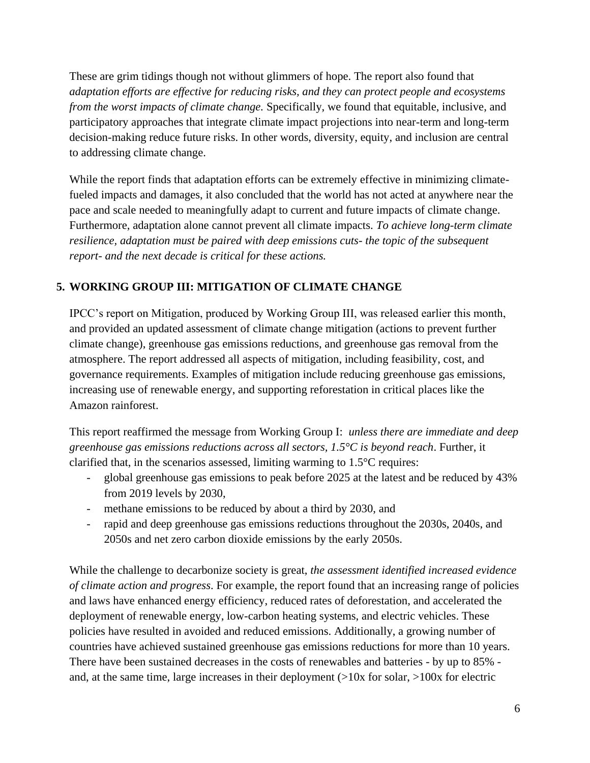These are grim tidings though not without glimmers of hope. The report also found that *adaptation efforts are effective for reducing risks, and they can protect people and ecosystems from the worst impacts of climate change.* Specifically, we found that equitable, inclusive, and participatory approaches that integrate climate impact projections into near-term and long-term decision-making reduce future risks. In other words, diversity, equity, and inclusion are central to addressing climate change.

While the report finds that adaptation efforts can be extremely effective in minimizing climatefueled impacts and damages, it also concluded that the world has not acted at anywhere near the pace and scale needed to meaningfully adapt to current and future impacts of climate change. Furthermore, adaptation alone cannot prevent all climate impacts. *To achieve long-term climate resilience, adaptation must be paired with deep emissions cuts- the topic of the subsequent report- and the next decade is critical for these actions.* 

# **5. WORKING GROUP III: MITIGATION OF CLIMATE CHANGE**

IPCC's report on Mitigation, produced by Working Group III, was released earlier this month, and provided an updated assessment of climate change mitigation (actions to prevent further climate change), greenhouse gas emissions reductions, and greenhouse gas removal from the atmosphere. The report addressed all aspects of mitigation, including feasibility, cost, and governance requirements. Examples of mitigation include reducing greenhouse gas emissions, increasing use of renewable energy, and supporting reforestation in critical places like the Amazon rainforest.

This report reaffirmed the message from Working Group I: *unless there are immediate and deep greenhouse gas emissions reductions across all sectors, 1.5°C is beyond reach*. Further, it clarified that, in the scenarios assessed, limiting warming to 1.5°C requires:

- global greenhouse gas emissions to peak before 2025 at the latest and be reduced by 43% from 2019 levels by 2030,
- methane emissions to be reduced by about a third by 2030, and
- rapid and deep greenhouse gas emissions reductions throughout the 2030s, 2040s, and 2050s and net zero carbon dioxide emissions by the early 2050s.

While the challenge to decarbonize society is great, *the assessment identified increased evidence of climate action and progress*. For example, the report found that an increasing range of policies and laws have enhanced energy efficiency, reduced rates of deforestation, and accelerated the deployment of renewable energy, low-carbon heating systems, and electric vehicles. These policies have resulted in avoided and reduced emissions. Additionally, a growing number of countries have achieved sustained greenhouse gas emissions reductions for more than 10 years. There have been sustained decreases in the costs of renewables and batteries - by up to 85% and, at the same time, large increases in their deployment  $(>10x$  for solar,  $>100x$  for electric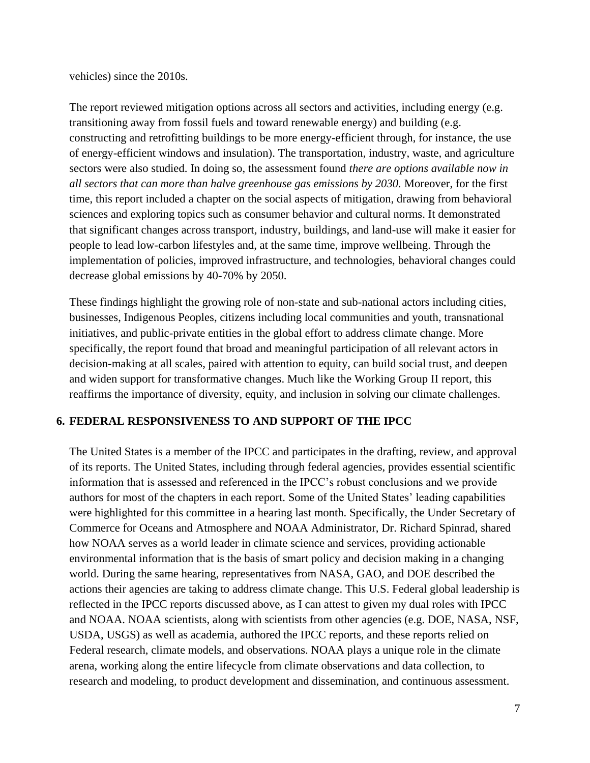vehicles) since the 2010s.

The report reviewed mitigation options across all sectors and activities, including energy (e.g. transitioning away from fossil fuels and toward renewable energy) and building (e.g. constructing and retrofitting buildings to be more energy-efficient through, for instance, the use of energy-efficient windows and insulation). The transportation, industry, waste, and agriculture sectors were also studied. In doing so, the assessment found *there are options available now in all sectors that can more than halve greenhouse gas emissions by 2030.* Moreover, for the first time, this report included a chapter on the social aspects of mitigation, drawing from behavioral sciences and exploring topics such as consumer behavior and cultural norms. It demonstrated that significant changes across transport, industry, buildings, and land-use will make it easier for people to lead low-carbon lifestyles and, at the same time, improve wellbeing. Through the implementation of policies, improved infrastructure, and technologies, behavioral changes could decrease global emissions by 40-70% by 2050.

These findings highlight the growing role of non-state and sub-national actors including cities, businesses, Indigenous Peoples, citizens including local communities and youth, transnational initiatives, and public-private entities in the global effort to address climate change. More specifically, the report found that broad and meaningful participation of all relevant actors in decision-making at all scales, paired with attention to equity, can build social trust, and deepen and widen support for transformative changes. Much like the Working Group II report, this reaffirms the importance of diversity, equity, and inclusion in solving our climate challenges.

### **6. FEDERAL RESPONSIVENESS TO AND SUPPORT OF THE IPCC**

The United States is a member of the IPCC and participates in the drafting, review, and approval of its reports. The United States, including through federal agencies, provides essential scientific information that is assessed and referenced in the IPCC's robust conclusions and we provide authors for most of the chapters in each report. Some of the United States' leading capabilities were highlighted for this committee in a hearing last month. Specifically, the Under Secretary of Commerce for Oceans and Atmosphere and NOAA Administrator, Dr. Richard Spinrad, shared how NOAA serves as a world leader in climate science and services, providing actionable environmental information that is the basis of smart policy and decision making in a changing world. During the same hearing, representatives from NASA, GAO, and DOE described the actions their agencies are taking to address climate change. This U.S. Federal global leadership is reflected in the IPCC reports discussed above, as I can attest to given my dual roles with IPCC and NOAA. NOAA scientists, along with scientists from other agencies (e.g. DOE, NASA, NSF, USDA, USGS) as well as academia, authored the IPCC reports, and these reports relied on Federal research, climate models, and observations. NOAA plays a unique role in the climate arena, working along the entire lifecycle from climate observations and data collection, to research and modeling, to product development and dissemination, and continuous assessment.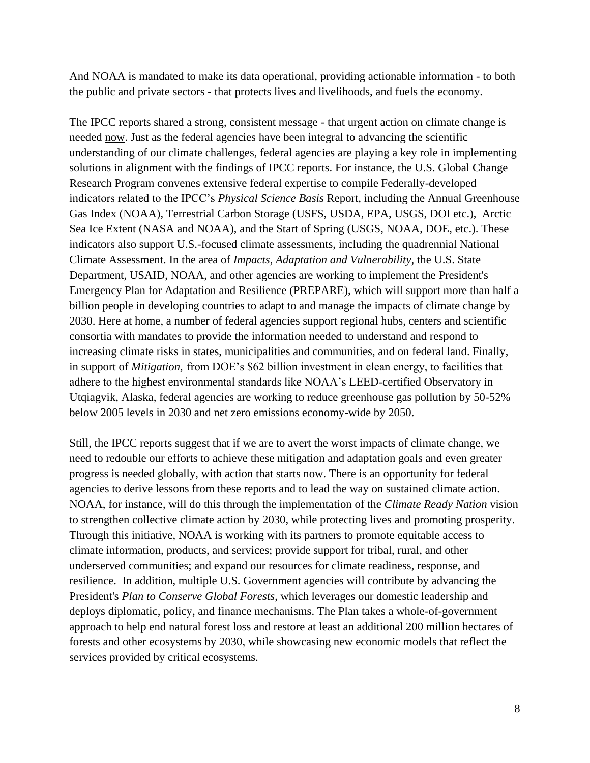And NOAA is mandated to make its data operational, providing actionable information - to both the public and private sectors - that protects lives and livelihoods, and fuels the economy.

The IPCC reports shared a strong, consistent message - that urgent action on climate change is needed now. Just as the federal agencies have been integral to advancing the scientific understanding of our climate challenges, federal agencies are playing a key role in implementing solutions in alignment with the findings of IPCC reports. For instance, the U.S. Global Change Research Program convenes extensive federal expertise to compile Federally-developed indicators related to the IPCC's *Physical Science Basis* Report, including the Annual Greenhouse Gas Index (NOAA), Terrestrial Carbon Storage (USFS, USDA, EPA, USGS, DOI etc.), Arctic Sea Ice Extent (NASA and NOAA), and the Start of Spring (USGS, NOAA, DOE, etc.). These indicators also support U.S.-focused climate assessments, including the quadrennial National Climate Assessment. In the area of *Impacts, Adaptation and Vulnerability,* the U.S. State Department, USAID, NOAA, and other agencies are working to implement the President's Emergency Plan for Adaptation and Resilience (PREPARE), which will support more than half a billion people in developing countries to adapt to and manage the impacts of climate change by 2030. Here at home, a number of federal agencies support regional hubs, centers and scientific consortia with mandates to provide the information needed to understand and respond to increasing climate risks in states, municipalities and communities, and on federal land. Finally, in support of *Mitigation,* from DOE's \$62 billion investment in clean energy, to facilities that adhere to the highest environmental standards like NOAA's LEED-certified Observatory in Utqiagvik, Alaska, federal agencies are working to reduce greenhouse gas pollution by 50-52% below 2005 levels in 2030 and net zero emissions economy-wide by 2050.

Still, the IPCC reports suggest that if we are to avert the worst impacts of climate change, we need to redouble our efforts to achieve these mitigation and adaptation goals and even greater progress is needed globally, with action that starts now. There is an opportunity for federal agencies to derive lessons from these reports and to lead the way on sustained climate action. NOAA, for instance, will do this through the implementation of the *Climate Ready Nation* vision to strengthen collective climate action by 2030, while protecting lives and promoting prosperity. Through this initiative, NOAA is working with its partners to promote equitable access to climate information, products, and services; provide support for tribal, rural, and other underserved communities; and expand our resources for climate readiness, response, and resilience. In addition, multiple U.S. Government agencies will contribute by advancing the President's *Plan to Conserve Global Forests*, which leverages our domestic leadership and deploys diplomatic, policy, and finance mechanisms. The Plan takes a whole-of-government approach to help end natural forest loss and restore at least an additional 200 million hectares of forests and other ecosystems by 2030, while showcasing new economic models that reflect the services provided by critical ecosystems.